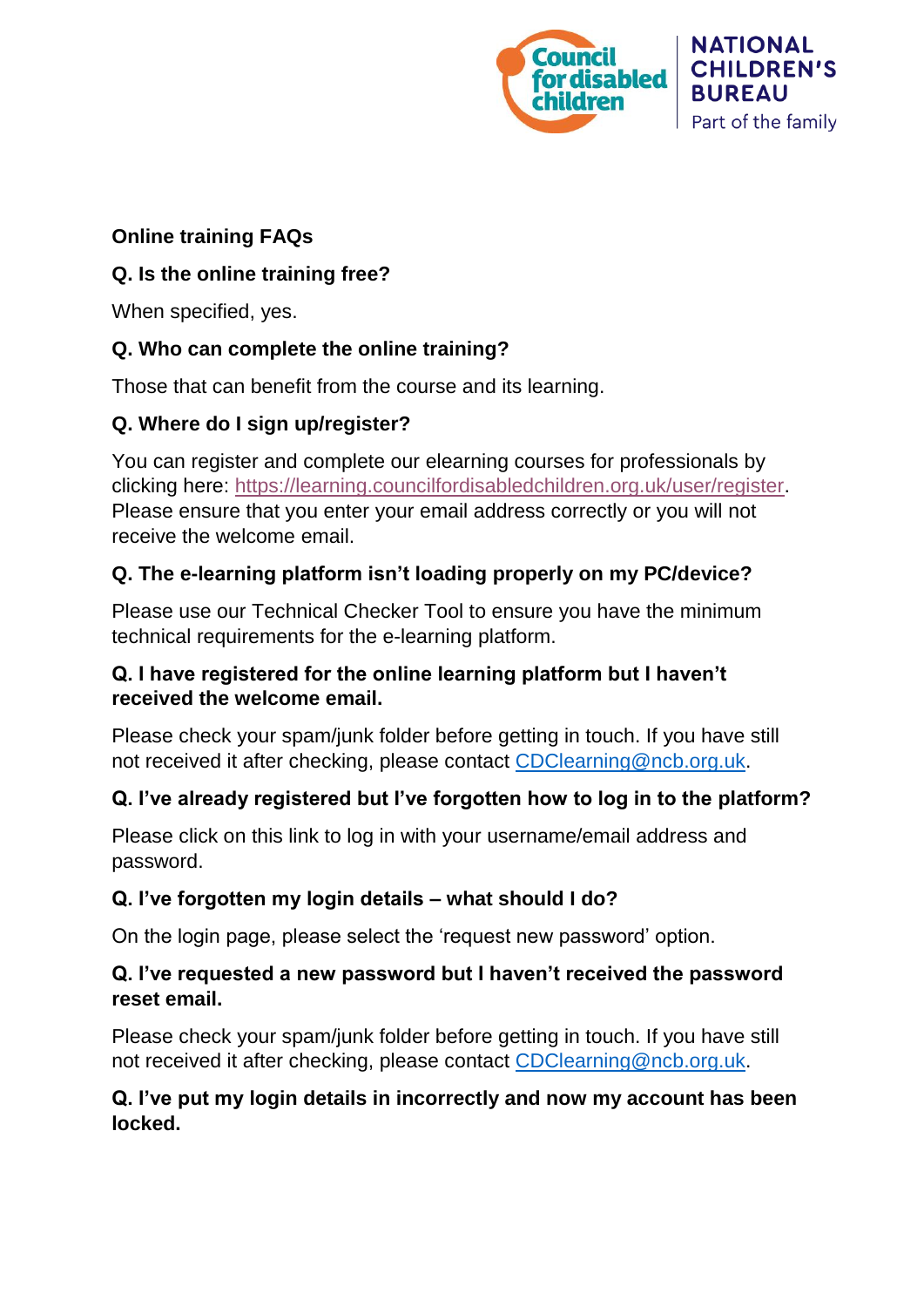

**NATIONAL CHILDREN'S BUREAU** Part of the family

#### **Online training FAQs**

## **Q. Is the online training free?**

When specified, yes.

# **Q. Who can complete the online training?**

Those that can benefit from the course and its learning.

# **Q. Where do I sign up/register?**

You can register and complete our elearning courses for professionals by clicking here: [https://learning.councilfordisabledchildren.org.uk/user/register.](https://learning.councilfordisabledchildren.org.uk/user/register) Please ensure that you enter your email address correctly or you will not receive the welcome email.

# **Q. The e-learning platform isn't loading properly on my PC/device?**

Please use our Technical Checker Tool to ensure you have the minimum technical requirements for the e-learning platform.

#### **Q. I have registered for the online learning platform but I haven't received the welcome email.**

Please check your spam/junk folder before getting in touch. If you have still not received it after checking, please contact [CDClearning@ncb.org.uk.](mailto:CDClearning@ncb.org.uk)

# **Q. I've already registered but I've forgotten how to log in to the platform?**

Please click on this link to log in with your username/email address and password.

## **Q. I've forgotten my login details – what should I do?**

On the login page, please select the 'request new password' option.

#### **Q. I've requested a new password but I haven't received the password reset email.**

Please check your spam/junk folder before getting in touch. If you have still not received it after checking, please contact [CDClearning@ncb.org.uk.](mailto:CDClearning@ncb.org.uk)

## **Q. I've put my login details in incorrectly and now my account has been locked.**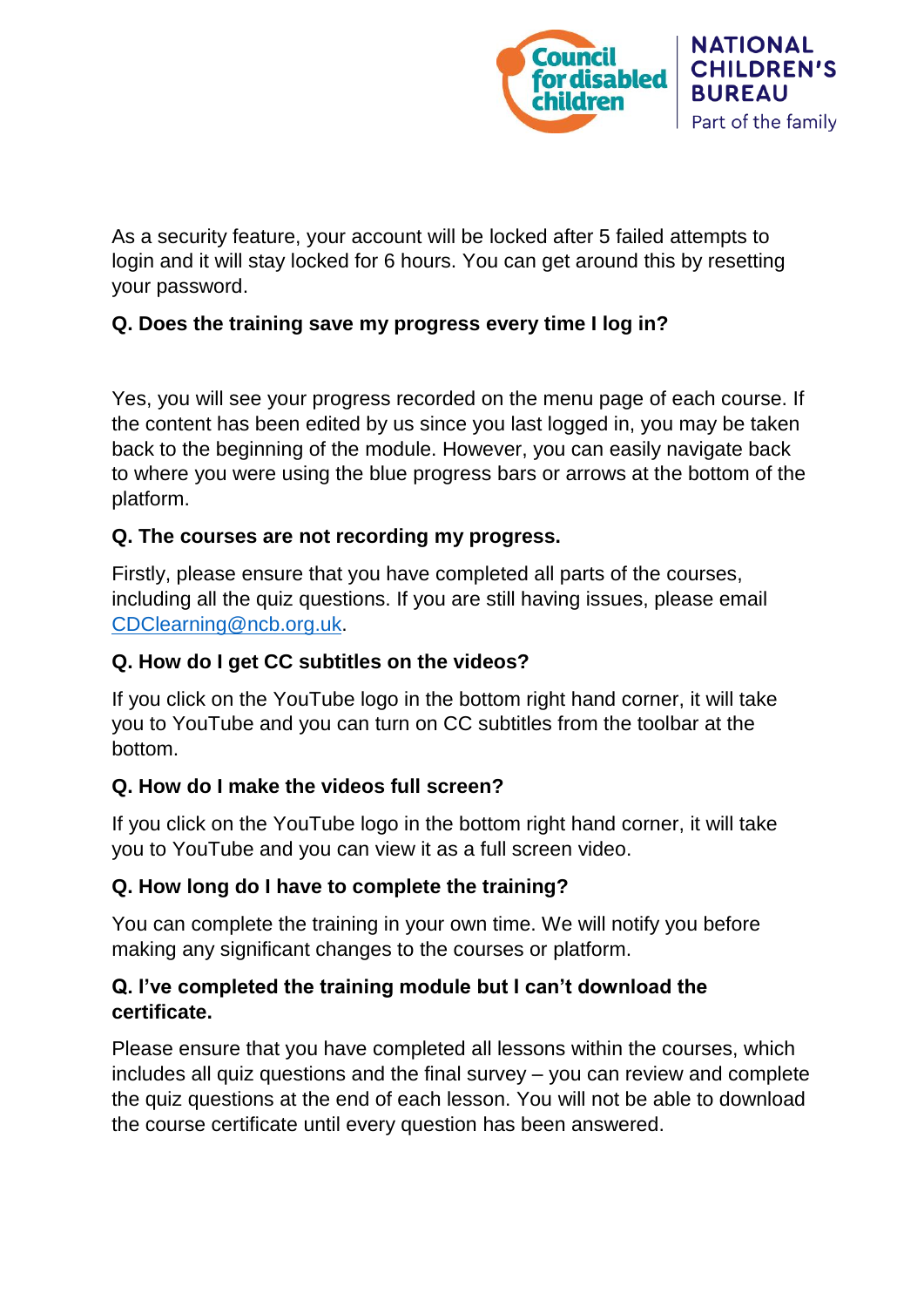

As a security feature, your account will be locked after 5 failed attempts to login and it will stay locked for 6 hours. You can get around this by resetting your password.

#### **Q. Does the training save my progress every time I log in?**

Yes, you will see your progress recorded on the menu page of each course. If the content has been edited by us since you last logged in, you may be taken back to the beginning of the module. However, you can easily navigate back to where you were using the blue progress bars or arrows at the bottom of the platform.

#### **Q. The courses are not recording my progress.**

Firstly, please ensure that you have completed all parts of the courses, including all the quiz questions. If you are still having issues, please email [CDClearning@ncb.org.uk.](mailto:CDClearning@ncb.org.uk)

#### **Q. How do I get CC subtitles on the videos?**

If you click on the YouTube logo in the bottom right hand corner, it will take you to YouTube and you can turn on CC subtitles from the toolbar at the bottom.

#### **Q. How do I make the videos full screen?**

If you click on the YouTube logo in the bottom right hand corner, it will take you to YouTube and you can view it as a full screen video.

#### **Q. How long do I have to complete the training?**

You can complete the training in your own time. We will notify you before making any significant changes to the courses or platform.

#### **Q. I've completed the training module but I can't download the certificate.**

Please ensure that you have completed all lessons within the courses, which includes all quiz questions and the final survey – you can review and complete the quiz questions at the end of each lesson. You will not be able to download the course certificate until every question has been answered.